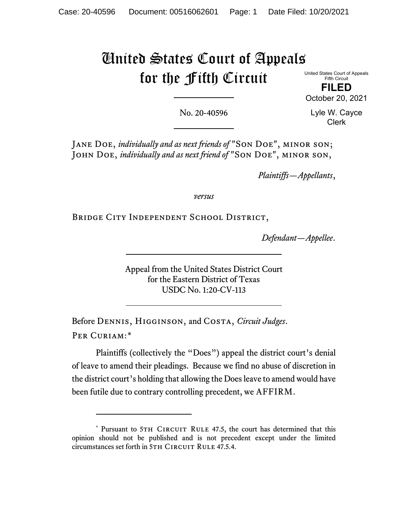# United States Court of Appeals for the Fifth Circuit

United States Court of Appeals Fifth Circuit

**FILED** October 20, 2021

No. 20-40596

Lyle W. Cayce Clerk

Jane Doe, *individually and as next friends of* "Son Doe", minor son; JOHN DOE, *individually and as next friend of* "SON DOE", MINOR SON,

*Plaintiffs—Appellants*,

*versus*

Bridge City Independent School District,

*Defendant—Appellee*.

Appeal from the United States District Court for the Eastern District of Texas USDC No. 1:20-CV-113

Before Dennis, Higginson, and Costa, *Circuit Judges*. Per Curiam:[\\*](#page-0-0)

Plaintiffs (collectively the "Does") appeal the district court's denial of leave to amend their pleadings. Because we find no abuse of discretion in the district court's holding that allowing the Doesleave to amend would have been futile due to contrary controlling precedent, we AFFIRM.

<span id="page-0-0"></span><sup>\*</sup> Pursuant to 5TH CIRCUIT RULE 47.5, the court has determined that this opinion should not be published and is not precedent except under the limited circumstances set forth in 5TH CIRCUIT RULE 47.5.4.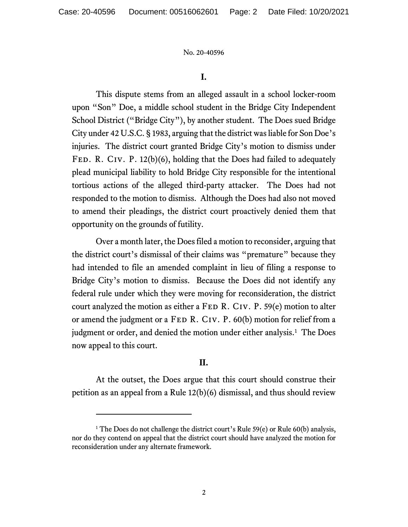No. 20-40596

## **I.**

This dispute stems from an alleged assault in a school locker-room upon "Son" Doe, a middle school student in the Bridge City Independent School District ("Bridge City"), by another student. The Does sued Bridge City under 42 U.S.C. § 1983, arguing that the district was liable for Son Doe's injuries. The district court granted Bridge City's motion to dismiss under FED. R. CIV. P. 12(b)(6), holding that the Does had failed to adequately plead municipal liability to hold Bridge City responsible for the intentional tortious actions of the alleged third-party attacker. The Does had not responded to the motion to dismiss. Although the Does had also not moved to amend their pleadings, the district court proactively denied them that opportunity on the grounds of futility.

Over a month later, the Doesfiled a motion to reconsider, arguing that the district court's dismissal of their claims was "premature" because they had intended to file an amended complaint in lieu of filing a response to Bridge City's motion to dismiss. Because the Does did not identify any federal rule under which they were moving for reconsideration, the district court analyzed the motion as either a FED R. CIV. P. 59 $(e)$  motion to alter or amend the judgment or a FED R. CIV. P. 60(b) motion for relief from a judgment or order, and denied the motion under either analysis. [1](#page-1-0) The Does now appeal to this court.

# **II.**

At the outset, the Does argue that this court should construe their petition as an appeal from a Rule 12(b)(6) dismissal, and thus should review

<span id="page-1-0"></span><sup>&</sup>lt;sup>1</sup> The Does do not challenge the district court's Rule 59(e) or Rule 60(b) analysis, nor do they contend on appeal that the district court should have analyzed the motion for reconsideration under any alternate framework.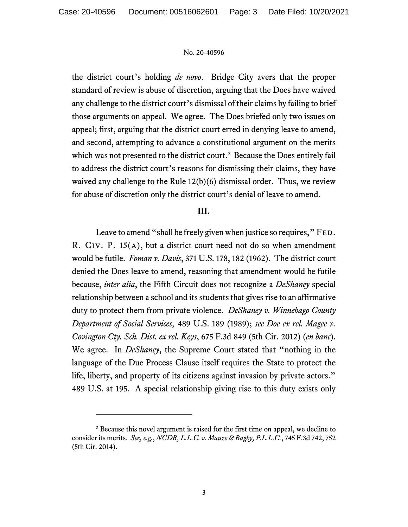#### No. 20-40596

the district court's holding *de novo*. Bridge City avers that the proper standard of review is abuse of discretion, arguing that the Does have waived any challenge to the district court's dismissal of their claims by failing to brief those arguments on appeal. We agree. The Does briefed only two issues on appeal; first, arguing that the district court erred in denying leave to amend, and second, attempting to advance a constitutional argument on the merits which was not presented to the district court.<sup>[2](#page-2-0)</sup> Because the Does entirely fail to address the district court's reasons for dismissing their claims, they have waived any challenge to the Rule 12(b)(6) dismissal order. Thus, we review for abuse of discretion only the district court's denial of leave to amend.

## **III.**

Leave to amend "shall be freely given when justice so requires," FED. R. Civ. P. 15(a), but a district court need not do so when amendment would be futile. *Foman v. Davis*, 371 U.S. 178, 182 (1962). The district court denied the Does leave to amend, reasoning that amendment would be futile because, *inter alia*, the Fifth Circuit does not recognize a *DeShaney* special relationship between a school and its students that gives rise to an affirmative duty to protect them from private violence. *DeShaney v. Winnebago County Department of Social Services,* 489 U.S. 189 (1989); *see Doe ex rel. Magee v. Covington Cty. Sch. Dist. ex rel. Keys*, 675 F.3d 849 (5th Cir. 2012) (*en banc*). We agree. In *DeShaney*, the Supreme Court stated that "nothing in the language of the Due Process Clause itself requires the State to protect the life, liberty, and property of its citizens against invasion by private actors." 489 U.S. at 195. A special relationship giving rise to this duty exists only

<span id="page-2-0"></span><sup>&</sup>lt;sup>2</sup> Because this novel argument is raised for the first time on appeal, we decline to consider its merits. *See, e.g.*, *NCDR, L.L.C. v. Mauze & Bagby, P.L.L.C.*, 745 F.3d 742, 752 (5th Cir. 2014).